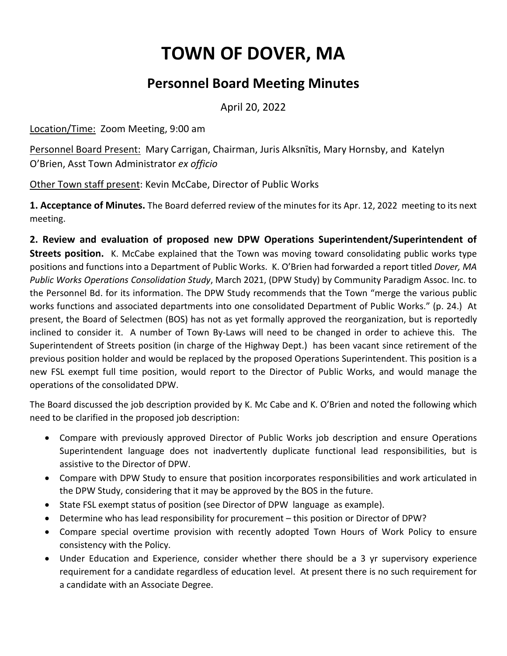## **TOWN OF DOVER, MA**

## **Personnel Board Meeting Minutes**

April 20, 2022

Location/Time: Zoom Meeting, 9:00 am

Personnel Board Present: Mary Carrigan, Chairman, Juris Alksnītis, Mary Hornsby, and Katelyn O'Brien, Asst Town Administrator *ex officio*

Other Town staff present: Kevin McCabe, Director of Public Works

**1. Acceptance of Minutes.** The Board deferred review of the minutes for its Apr. 12, 2022 meeting to its next meeting.

**2. Review and evaluation of proposed new DPW Operations Superintendent/Superintendent of Streets position.** K. McCabe explained that the Town was moving toward consolidating public works type positions and functions into a Department of Public Works. K. O'Brien had forwarded a report titled *Dover, MA Public Works Operations Consolidation Study*, March 2021, (DPW Study) by Community Paradigm Assoc. Inc. to the Personnel Bd. for its information. The DPW Study recommends that the Town "merge the various public works functions and associated departments into one consolidated Department of Public Works." (p. 24.) At present, the Board of Selectmen (BOS) has not as yet formally approved the reorganization, but is reportedly inclined to consider it. A number of Town By-Laws will need to be changed in order to achieve this. The Superintendent of Streets position (in charge of the Highway Dept.) has been vacant since retirement of the previous position holder and would be replaced by the proposed Operations Superintendent. This position is a new FSL exempt full time position, would report to the Director of Public Works, and would manage the operations of the consolidated DPW.

The Board discussed the job description provided by K. Mc Cabe and K. O'Brien and noted the following which need to be clarified in the proposed job description:

- Compare with previously approved Director of Public Works job description and ensure Operations Superintendent language does not inadvertently duplicate functional lead responsibilities, but is assistive to the Director of DPW.
- Compare with DPW Study to ensure that position incorporates responsibilities and work articulated in the DPW Study, considering that it may be approved by the BOS in the future.
- State FSL exempt status of position (see Director of DPW language as example).
- Determine who has lead responsibility for procurement this position or Director of DPW?
- Compare special overtime provision with recently adopted Town Hours of Work Policy to ensure consistency with the Policy.
- Under Education and Experience, consider whether there should be a 3 yr supervisory experience requirement for a candidate regardless of education level. At present there is no such requirement for a candidate with an Associate Degree.